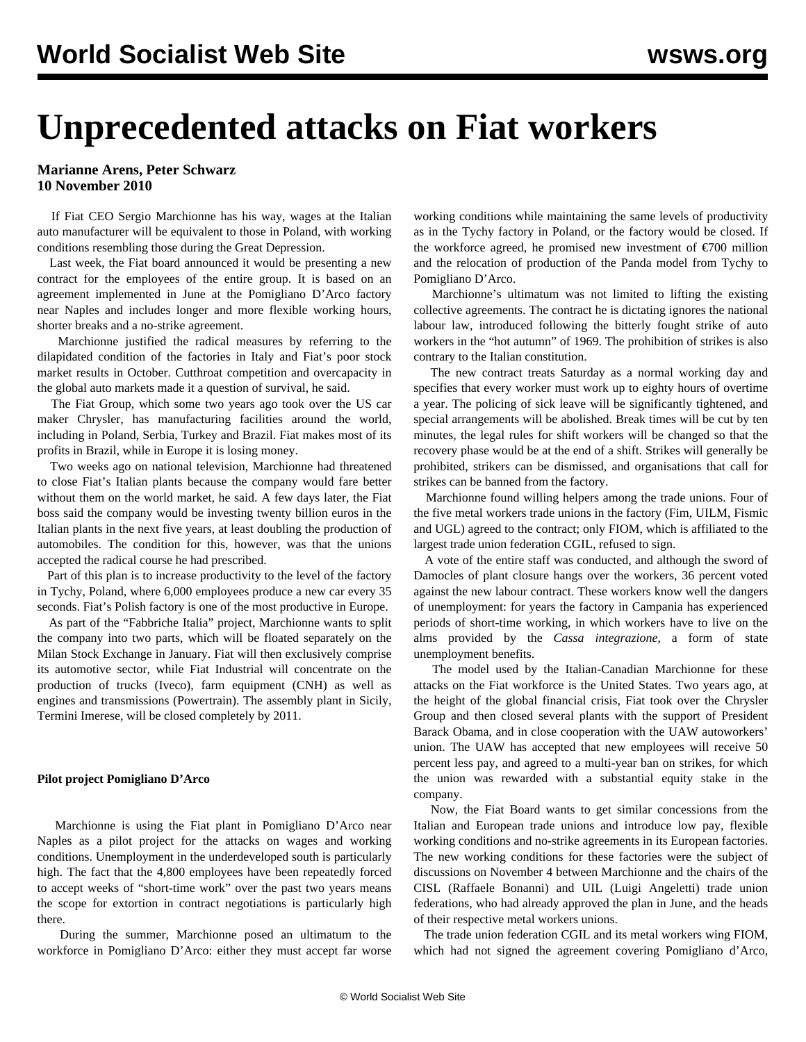## **Unprecedented attacks on Fiat workers**

**Marianne Arens, Peter Schwarz 10 November 2010**

 If Fiat CEO Sergio Marchionne has his way, wages at the Italian auto manufacturer will be equivalent to those in Poland, with working conditions resembling those during the Great Depression.

 Last week, the Fiat board announced it would be presenting a new contract for the employees of the entire group. It is based on an agreement implemented in June at the Pomigliano D'Arco factory near Naples and includes longer and more flexible working hours, shorter breaks and a no-strike agreement.

 Marchionne justified the radical measures by referring to the dilapidated condition of the factories in Italy and Fiat's poor stock market results in October. Cutthroat competition and overcapacity in the global auto markets made it a question of survival, he said.

 The Fiat Group, which some two years ago took over the US car maker Chrysler, has manufacturing facilities around the world, including in Poland, Serbia, Turkey and Brazil. Fiat makes most of its profits in Brazil, while in Europe it is losing money.

 Two weeks ago on national television, Marchionne had threatened to close Fiat's Italian plants because the company would fare better without them on the world market, he said. A few days later, the Fiat boss said the company would be investing twenty billion euros in the Italian plants in the next five years, at least doubling the production of automobiles. The condition for this, however, was that the unions accepted the radical course he had prescribed.

 Part of this plan is to increase productivity to the level of the factory in Tychy, Poland, where 6,000 employees produce a new car every 35 seconds. Fiat's Polish factory is one of the most productive in Europe.

 As part of the "Fabbriche Italia" project, Marchionne wants to split the company into two parts, which will be floated separately on the Milan Stock Exchange in January. Fiat will then exclusively comprise its automotive sector, while Fiat Industrial will concentrate on the production of trucks (Iveco), farm equipment (CNH) as well as engines and transmissions (Powertrain). The assembly plant in Sicily, Termini Imerese, will be closed completely by 2011.

## **Pilot project Pomigliano D'Arco**

 Marchionne is using the Fiat plant in Pomigliano D'Arco near Naples as a pilot project for the attacks on wages and working conditions. Unemployment in the underdeveloped south is particularly high. The fact that the 4,800 employees have been repeatedly forced to accept weeks of "short-time work" over the past two years means the scope for extortion in contract negotiations is particularly high there.

 During the summer, Marchionne posed an ultimatum to the workforce in Pomigliano D'Arco: either they must accept far worse working conditions while maintaining the same levels of productivity as in the Tychy factory in Poland, or the factory would be closed. If the workforce agreed, he promised new investment of  $\epsilon$ 700 million and the relocation of production of the Panda model from Tychy to Pomigliano D'Arco.

 Marchionne's ultimatum was not limited to lifting the existing collective agreements. The contract he is dictating ignores the national labour law, introduced following the bitterly fought strike of auto workers in the "hot autumn" of 1969. The prohibition of strikes is also contrary to the Italian constitution.

 The new contract treats Saturday as a normal working day and specifies that every worker must work up to eighty hours of overtime a year. The policing of sick leave will be significantly tightened, and special arrangements will be abolished. Break times will be cut by ten minutes, the legal rules for shift workers will be changed so that the recovery phase would be at the end of a shift. Strikes will generally be prohibited, strikers can be dismissed, and organisations that call for strikes can be banned from the factory.

 Marchionne found willing helpers among the trade unions. Four of the five metal workers trade unions in the factory (Fim, UILM, Fismic and UGL) agreed to the contract; only FIOM, which is affiliated to the largest trade union federation CGIL, refused to sign.

 A vote of the entire staff was conducted, and although the sword of Damocles of plant closure hangs over the workers, 36 percent voted against the new labour contract. These workers know well the dangers of unemployment: for years the factory in Campania has experienced periods of short-time working, in which workers have to live on the alms provided by the *Cassa integrazione*, a form of state unemployment benefits.

 The model used by the Italian-Canadian Marchionne for these attacks on the Fiat workforce is the United States. Two years ago, at the height of the global financial crisis, Fiat took over the Chrysler Group and then closed several plants with the support of President Barack Obama, and in close cooperation with the UAW autoworkers' union. The UAW has accepted that new employees will receive 50 percent less pay, and agreed to a multi-year ban on strikes, for which the union was rewarded with a substantial equity stake in the company.

 Now, the Fiat Board wants to get similar concessions from the Italian and European trade unions and introduce low pay, flexible working conditions and no-strike agreements in its European factories. The new working conditions for these factories were the subject of discussions on November 4 between Marchionne and the chairs of the CISL (Raffaele Bonanni) and UIL (Luigi Angeletti) trade union federations, who had already approved the plan in June, and the heads of their respective metal workers unions.

 The trade union federation CGIL and its metal workers wing FIOM, which had not signed the agreement covering Pomigliano d'Arco,